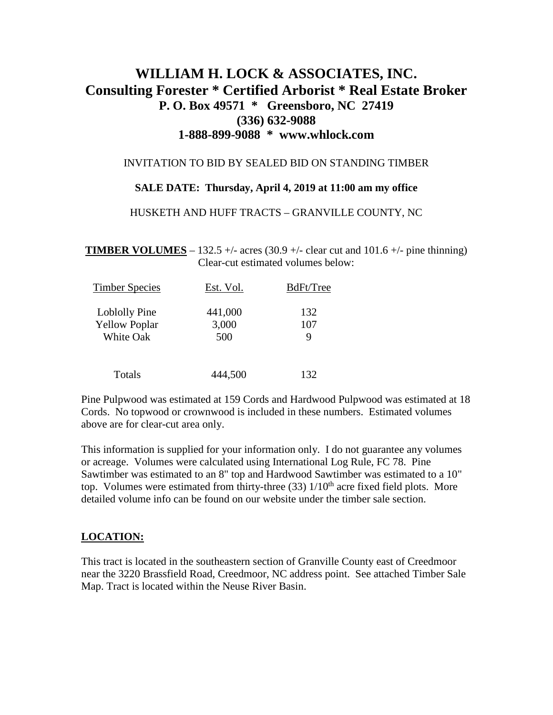# **WILLIAM H. LOCK & ASSOCIATES, INC. Consulting Forester \* Certified Arborist \* Real Estate Broker P. O. Box 49571 \* Greensboro, NC 27419 (336) 632-9088 1-888-899-9088 \* www.whlock.com**

## INVITATION TO BID BY SEALED BID ON STANDING TIMBER

## **SALE DATE: Thursday, April 4, 2019 at 11:00 am my office**

## HUSKETH AND HUFF TRACTS – GRANVILLE COUNTY, NC

**TIMBER VOLUMES** – 132.5 +/- acres (30.9 +/- clear cut and 101.6 +/- pine thinning) Clear-cut estimated volumes below:

| <b>Timber Species</b> | Est. Vol. | BdFt/Tree |
|-----------------------|-----------|-----------|
| Loblolly Pine         | 441,000   | 132       |
| <b>Yellow Poplar</b>  | 3,000     | 107       |
| <b>White Oak</b>      | 500       | 9         |
| Totals                | 444,500   | 132       |

Pine Pulpwood was estimated at 159 Cords and Hardwood Pulpwood was estimated at 18 Cords. No topwood or crownwood is included in these numbers. Estimated volumes above are for clear-cut area only.

This information is supplied for your information only. I do not guarantee any volumes or acreage. Volumes were calculated using International Log Rule, FC 78. Pine Sawtimber was estimated to an 8" top and Hardwood Sawtimber was estimated to a 10" top. Volumes were estimated from thirty-three  $(33)$   $1/10<sup>th</sup>$  acre fixed field plots. More detailed volume info can be found on our website under the timber sale section.

## **LOCATION:**

This tract is located in the southeastern section of Granville County east of Creedmoor near the 3220 Brassfield Road, Creedmoor, NC address point. See attached Timber Sale Map. Tract is located within the Neuse River Basin.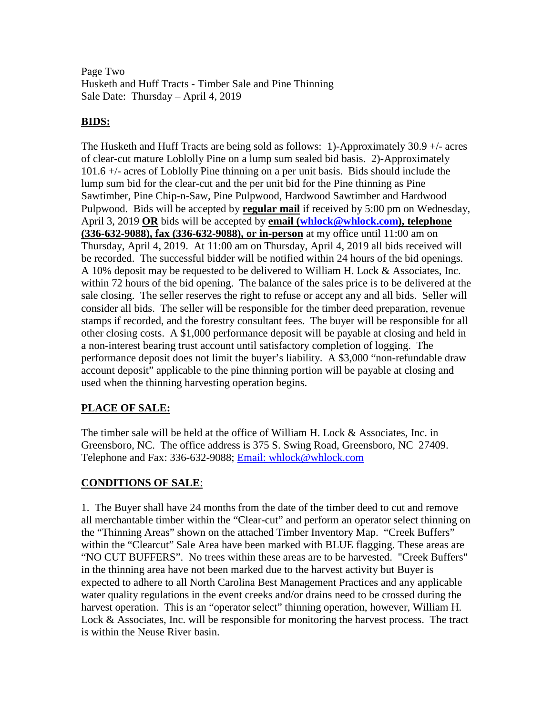Page Two Husketh and Huff Tracts - Timber Sale and Pine Thinning Sale Date: Thursday – April 4, 2019

# **BIDS:**

The Husketh and Huff Tracts are being sold as follows: 1)-Approximately 30.9 +/- acres of clear-cut mature Loblolly Pine on a lump sum sealed bid basis. 2)-Approximately 101.6 +/- acres of Loblolly Pine thinning on a per unit basis. Bids should include the lump sum bid for the clear-cut and the per unit bid for the Pine thinning as Pine Sawtimber, Pine Chip-n-Saw, Pine Pulpwood, Hardwood Sawtimber and Hardwood Pulpwood. Bids will be accepted by **regular mail** if received by 5:00 pm on Wednesday, April 3, 2019 **OR** bids will be accepted by **email [\(whlock@whlock.com\)](mailto:whlock@whlock.com), telephone (336-632-9088), fax (336-632-9088), or in-person** at my office until 11:00 am on Thursday, April 4, 2019. At 11:00 am on Thursday, April 4, 2019 all bids received will be recorded. The successful bidder will be notified within 24 hours of the bid openings. A 10% deposit may be requested to be delivered to William H. Lock & Associates, Inc. within 72 hours of the bid opening. The balance of the sales price is to be delivered at the sale closing. The seller reserves the right to refuse or accept any and all bids. Seller will consider all bids. The seller will be responsible for the timber deed preparation, revenue stamps if recorded, and the forestry consultant fees. The buyer will be responsible for all other closing costs. A \$1,000 performance deposit will be payable at closing and held in a non-interest bearing trust account until satisfactory completion of logging. The performance deposit does not limit the buyer's liability. A \$3,000 "non-refundable draw account deposit" applicable to the pine thinning portion will be payable at closing and used when the thinning harvesting operation begins.

# **PLACE OF SALE:**

The timber sale will be held at the office of William H. Lock & Associates, Inc. in Greensboro, NC. The office address is 375 S. Swing Road, Greensboro, NC 27409. Telephone and Fax: 336-632-9088; Email: whlock@whlock.com

# **CONDITIONS OF SALE**:

1. The Buyer shall have 24 months from the date of the timber deed to cut and remove all merchantable timber within the "Clear-cut" and perform an operator select thinning on the "Thinning Areas" shown on the attached Timber Inventory Map. "Creek Buffers" within the "Clearcut" Sale Area have been marked with BLUE flagging. These areas are "NO CUT BUFFERS". No trees within these areas are to be harvested. "Creek Buffers" in the thinning area have not been marked due to the harvest activity but Buyer is expected to adhere to all North Carolina Best Management Practices and any applicable water quality regulations in the event creeks and/or drains need to be crossed during the harvest operation. This is an "operator select" thinning operation, however, William H. Lock & Associates, Inc. will be responsible for monitoring the harvest process. The tract is within the Neuse River basin.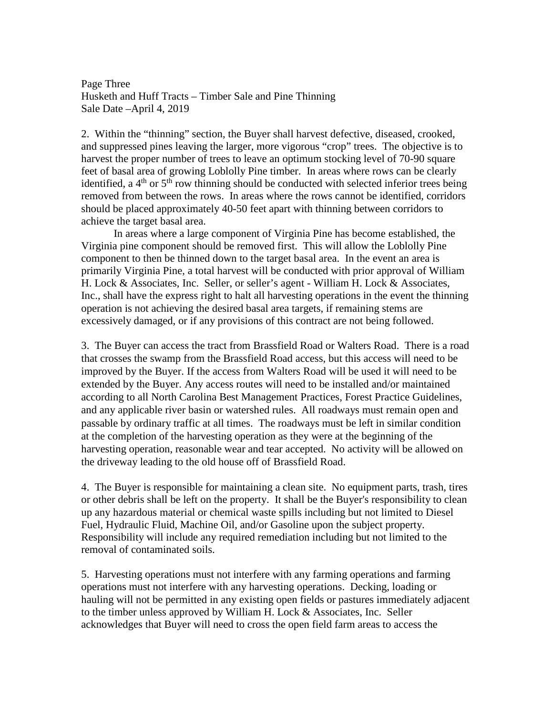Page Three Husketh and Huff Tracts – Timber Sale and Pine Thinning Sale Date –April 4, 2019

2. Within the "thinning" section, the Buyer shall harvest defective, diseased, crooked, and suppressed pines leaving the larger, more vigorous "crop" trees. The objective is to harvest the proper number of trees to leave an optimum stocking level of 70-90 square feet of basal area of growing Loblolly Pine timber. In areas where rows can be clearly identified, a  $4<sup>th</sup>$  or  $5<sup>th</sup>$  row thinning should be conducted with selected inferior trees being removed from between the rows. In areas where the rows cannot be identified, corridors should be placed approximately 40-50 feet apart with thinning between corridors to achieve the target basal area.

In areas where a large component of Virginia Pine has become established, the Virginia pine component should be removed first. This will allow the Loblolly Pine component to then be thinned down to the target basal area. In the event an area is primarily Virginia Pine, a total harvest will be conducted with prior approval of William H. Lock & Associates, Inc. Seller, or seller's agent - William H. Lock & Associates, Inc., shall have the express right to halt all harvesting operations in the event the thinning operation is not achieving the desired basal area targets, if remaining stems are excessively damaged, or if any provisions of this contract are not being followed.

3. The Buyer can access the tract from Brassfield Road or Walters Road. There is a road that crosses the swamp from the Brassfield Road access, but this access will need to be improved by the Buyer. If the access from Walters Road will be used it will need to be extended by the Buyer. Any access routes will need to be installed and/or maintained according to all North Carolina Best Management Practices, Forest Practice Guidelines, and any applicable river basin or watershed rules. All roadways must remain open and passable by ordinary traffic at all times. The roadways must be left in similar condition at the completion of the harvesting operation as they were at the beginning of the harvesting operation, reasonable wear and tear accepted. No activity will be allowed on the driveway leading to the old house off of Brassfield Road.

4. The Buyer is responsible for maintaining a clean site. No equipment parts, trash, tires or other debris shall be left on the property. It shall be the Buyer's responsibility to clean up any hazardous material or chemical waste spills including but not limited to Diesel Fuel, Hydraulic Fluid, Machine Oil, and/or Gasoline upon the subject property. Responsibility will include any required remediation including but not limited to the removal of contaminated soils.

5. Harvesting operations must not interfere with any farming operations and farming operations must not interfere with any harvesting operations. Decking, loading or hauling will not be permitted in any existing open fields or pastures immediately adjacent to the timber unless approved by William H. Lock & Associates, Inc. Seller acknowledges that Buyer will need to cross the open field farm areas to access the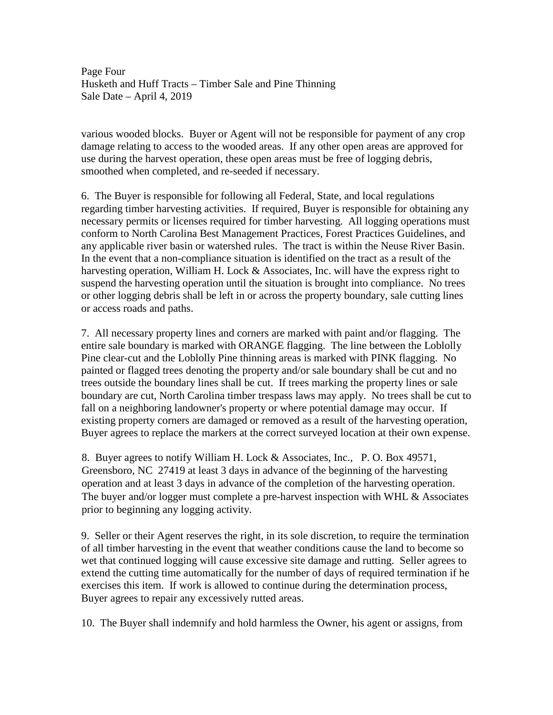Page Four Husketh and Huff Tracts – Timber Sale and Pine Thinning Sale Date – April 4, 2019

various wooded blocks. Buyer or Agent will not be responsible for payment of any crop damage relating to access to the wooded areas. If any other open areas are approved for use during the harvest operation, these open areas must be free of logging debris, smoothed when completed, and re-seeded if necessary.

6. The Buyer is responsible for following all Federal, State, and local regulations regarding timber harvesting activities. If required, Buyer is responsible for obtaining any necessary permits or licenses required for timber harvesting. All logging operations must conform to North Carolina Best Management Practices, Forest Practices Guidelines, and any applicable river basin or watershed rules. The tract is within the Neuse River Basin. In the event that a non-compliance situation is identified on the tract as a result of the harvesting operation, William H. Lock  $\&$  Associates, Inc. will have the express right to suspend the harvesting operation until the situation is brought into compliance. No trees or other logging debris shall be left in or across the property boundary, sale cutting lines or access roads and paths.

7. All necessary property lines and corners are marked with paint and/or flagging. The entire sale boundary is marked with ORANGE flagging. The line between the Loblolly Pine clear-cut and the Loblolly Pine thinning areas is marked with PINK flagging. No painted or flagged trees denoting the property and/or sale boundary shall be cut and no trees outside the boundary lines shall be cut. If trees marking the property lines or sale boundary are cut, North Carolina timber trespass laws may apply. No trees shall be cut to fall on a neighboring landowner's property or where potential damage may occur. If existing property corners are damaged or removed as a result of the harvesting operation, Buyer agrees to replace the markers at the correct surveyed location at their own expense.

8. Buyer agrees to notify William H. Lock & Associates, Inc., P. O. Box 49571, Greensboro, NC 27419 at least 3 days in advance of the beginning of the harvesting operation and at least 3 days in advance of the completion of the harvesting operation. The buyer and/or logger must complete a pre-harvest inspection with WHL & Associates prior to beginning any logging activity.

9. Seller or their Agent reserves the right, in its sole discretion, to require the termination of all timber harvesting in the event that weather conditions cause the land to become so wet that continued logging will cause excessive site damage and rutting. Seller agrees to extend the cutting time automatically for the number of days of required termination if he exercises this item. If work is allowed to continue during the determination process, Buyer agrees to repair any excessively rutted areas.

10. The Buyer shall indemnify and hold harmless the Owner, his agent or assigns, from